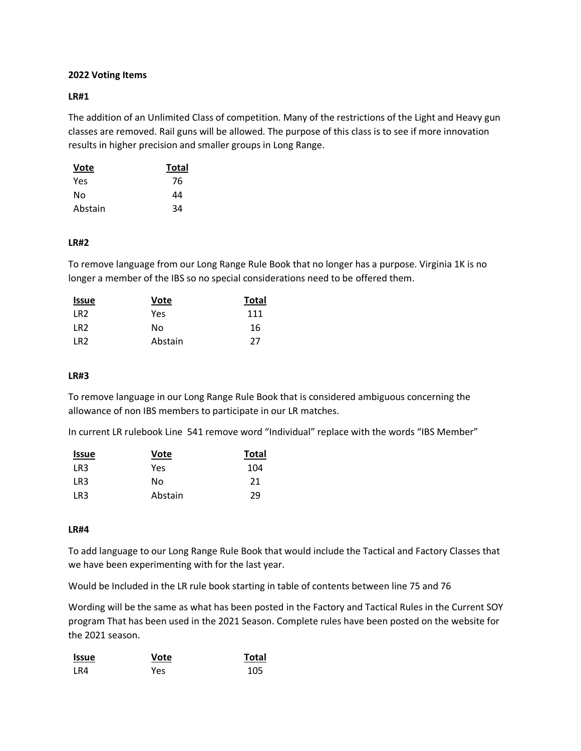# **2022 Voting Items**

# **LR#1**

The addition of an Unlimited Class of competition. Many of the restrictions of the Light and Heavy gun classes are removed. Rail guns will be allowed. The purpose of this class is to see if more innovation results in higher precision and smaller groups in Long Range.

| Vote    | Total |
|---------|-------|
| Yes     | 76    |
| No      | 44    |
| Abstain | 34    |

## **LR#2**

To remove language from our Long Range Rule Book that no longer has a purpose. Virginia 1K is no longer a member of the IBS so no special considerations need to be offered them.

| Issue           | Vote    | <b>Total</b> |
|-----------------|---------|--------------|
| LR <sub>2</sub> | Yes     | 111          |
| LR <sub>2</sub> | N٥      | 16           |
| IR <sub>2</sub> | Abstain | 27           |

# **LR#3**

To remove language in our Long Range Rule Book that is considered ambiguous concerning the allowance of non IBS members to participate in our LR matches.

In current LR rulebook Line 541 remove word "Individual" replace with the words "IBS Member"

| <b>Issue</b> | Vote    | <b>Total</b> |
|--------------|---------|--------------|
| LR3          | Yes     | 104          |
| LR3          | No      | 21           |
| LR3          | Abstain | 29           |

## **LR#4**

To add language to our Long Range Rule Book that would include the Tactical and Factory Classes that we have been experimenting with for the last year.

Would be Included in the LR rule book starting in table of contents between line 75 and 76

Wording will be the same as what has been posted in the Factory and Tactical Rules in the Current SOY program That has been used in the 2021 Season. Complete rules have been posted on the website for the 2021 season.

| <b>Issue</b> | Vote | <b>Total</b> |
|--------------|------|--------------|
| LR4          | Yes  | 105          |